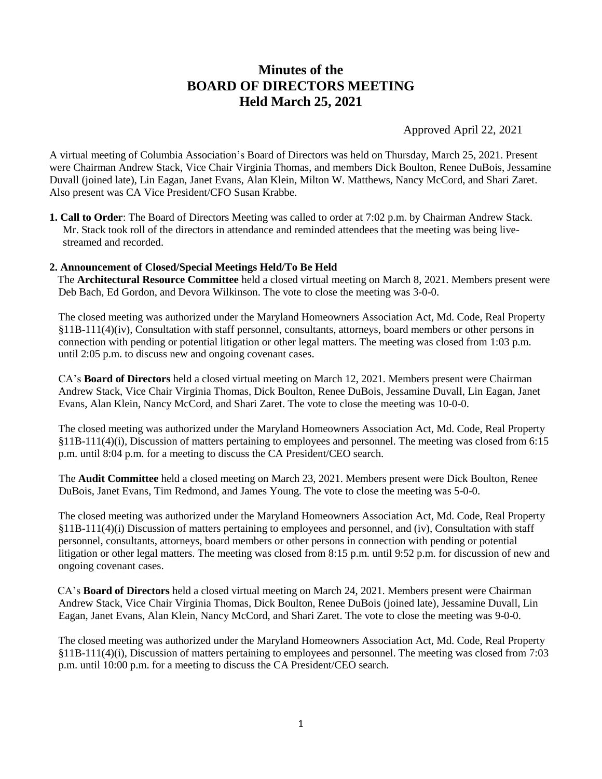# **Minutes of the BOARD OF DIRECTORS MEETING Held March 25, 2021**

Approved April 22, 2021

A virtual meeting of Columbia Association's Board of Directors was held on Thursday, March 25, 2021. Present were Chairman Andrew Stack, Vice Chair Virginia Thomas, and members Dick Boulton, Renee DuBois, Jessamine Duvall (joined late), Lin Eagan, Janet Evans, Alan Klein, Milton W. Matthews, Nancy McCord, and Shari Zaret. Also present was CA Vice President/CFO Susan Krabbe.

**1. Call to Order**: The Board of Directors Meeting was called to order at 7:02 p.m. by Chairman Andrew Stack. Mr. Stack took roll of the directors in attendance and reminded attendees that the meeting was being livestreamed and recorded.

## **2. Announcement of Closed/Special Meetings Held/To Be Held**

 The **Architectural Resource Committee** held a closed virtual meeting on March 8, 2021. Members present were Deb Bach, Ed Gordon, and Devora Wilkinson. The vote to close the meeting was 3-0-0.

The closed meeting was authorized under the Maryland Homeowners Association Act, Md. Code, Real Property §11B-111(4)(iv), Consultation with staff personnel, consultants, attorneys, board members or other persons in connection with pending or potential litigation or other legal matters. The meeting was closed from 1:03 p.m. until 2:05 p.m. to discuss new and ongoing covenant cases.

CA's **Board of Directors** held a closed virtual meeting on March 12, 2021. Members present were Chairman Andrew Stack, Vice Chair Virginia Thomas, Dick Boulton, Renee DuBois, Jessamine Duvall, Lin Eagan, Janet Evans, Alan Klein, Nancy McCord, and Shari Zaret. The vote to close the meeting was 10-0-0.

The closed meeting was authorized under the Maryland Homeowners Association Act, Md. Code, Real Property §11B-111(4)(i), Discussion of matters pertaining to employees and personnel. The meeting was closed from 6:15 p.m. until 8:04 p.m. for a meeting to discuss the CA President/CEO search.

The **Audit Committee** held a closed meeting on March 23, 2021. Members present were Dick Boulton, Renee DuBois, Janet Evans, Tim Redmond, and James Young. The vote to close the meeting was 5-0-0.

The closed meeting was authorized under the Maryland Homeowners Association Act, Md. Code, Real Property §11B-111(4)(i) Discussion of matters pertaining to employees and personnel, and (iv), Consultation with staff personnel, consultants, attorneys, board members or other persons in connection with pending or potential litigation or other legal matters. The meeting was closed from 8:15 p.m. until 9:52 p.m. for discussion of new and ongoing covenant cases.

 CA's **Board of Directors** held a closed virtual meeting on March 24, 2021. Members present were Chairman Andrew Stack, Vice Chair Virginia Thomas, Dick Boulton, Renee DuBois (joined late), Jessamine Duvall, Lin Eagan, Janet Evans, Alan Klein, Nancy McCord, and Shari Zaret. The vote to close the meeting was 9-0-0.

The closed meeting was authorized under the Maryland Homeowners Association Act, Md. Code, Real Property §11B-111(4)(i), Discussion of matters pertaining to employees and personnel. The meeting was closed from 7:03 p.m. until 10:00 p.m. for a meeting to discuss the CA President/CEO search.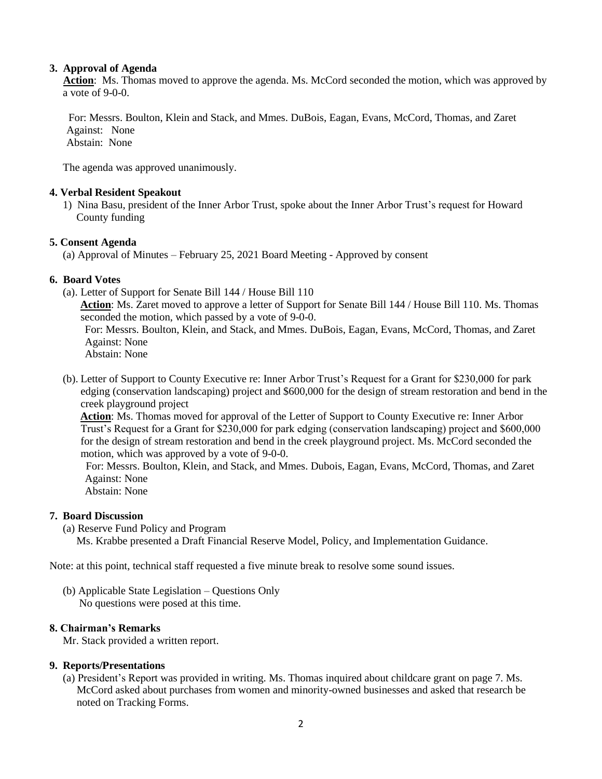## **3. Approval of Agenda**

 **Action**: Ms. Thomas moved to approve the agenda. Ms. McCord seconded the motion, which was approved by a vote of 9-0-0.

 For: Messrs. Boulton, Klein and Stack, and Mmes. DuBois, Eagan, Evans, McCord, Thomas, and Zaret Against: None Abstain: None

The agenda was approved unanimously.

#### **4. Verbal Resident Speakout**

1) Nina Basu, president of the Inner Arbor Trust, spoke about the Inner Arbor Trust's request for Howard County funding

## **5. Consent Agenda**

(a) Approval of Minutes – February 25, 2021 Board Meeting - Approved by consent

#### **6. Board Votes**

(a). Letter of Support for Senate Bill 144 / House Bill 110

**Action**: Ms. Zaret moved to approve a letter of Support for Senate Bill 144 / House Bill 110. Ms. Thomas seconded the motion, which passed by a vote of 9-0-0.

For: Messrs. Boulton, Klein, and Stack, and Mmes. DuBois, Eagan, Evans, McCord, Thomas, and Zaret Against: None

Abstain: None

(b). Letter of Support to County Executive re: Inner Arbor Trust's Request for a Grant for \$230,000 for park edging (conservation landscaping) project and \$600,000 for the design of stream restoration and bend in the creek playground project

**Action**: Ms. Thomas moved for approval of the Letter of Support to County Executive re: Inner Arbor Trust's Request for a Grant for \$230,000 for park edging (conservation landscaping) project and \$600,000 for the design of stream restoration and bend in the creek playground project. Ms. McCord seconded the motion, which was approved by a vote of 9-0-0.

For: Messrs. Boulton, Klein, and Stack, and Mmes. Dubois, Eagan, Evans, McCord, Thomas, and Zaret Against: None

Abstain: None

## **7. Board Discussion**

(a) Reserve Fund Policy and Program

Ms. Krabbe presented a Draft Financial Reserve Model, Policy, and Implementation Guidance.

Note: at this point, technical staff requested a five minute break to resolve some sound issues.

(b) Applicable State Legislation – Questions Only No questions were posed at this time.

## **8. Chairman's Remarks**

Mr. Stack provided a written report.

## **9. Reports/Presentations**

(a) President's Report was provided in writing. Ms. Thomas inquired about childcare grant on page 7. Ms. McCord asked about purchases from women and minority-owned businesses and asked that research be noted on Tracking Forms.